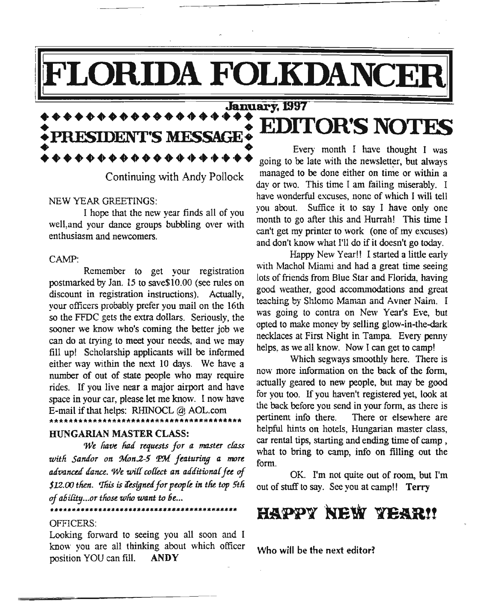# **LORIDA FOLKDANCER**

## :+++.++++++++.++~~ED~mIT~ t **+PRESIDENT'S MESSAGE! OR S NOTFS** • PRESIDENT'S MESSAGE • Every month I have thought I was<br>•  $\bullet \bullet \bullet \bullet \bullet \bullet \bullet \bullet \bullet \bullet \bullet \bullet \bullet \bullet \bullet \bullet$

#### NEW YEAR GREETINGS:

I hope that the new year finds all of vou well, and your dance groups bubbling over with enthusiasm and newcomers.

#### CAMP:

Remember to get your registration postmarked by Jan. 15 to save\$10.00 (see rules on discount in registration instructions). Actually, your officers probably prefer you mail on the 16th so the FFDC gets the extra dollars. Seriouslv, the sooner we know who's coming the better job we can do at trying to meet your needs, and we may fill up! Scholarship applicants will be informed either way within the next 10 days. We have a number of out of state people who may require rides. If you live near a major airport and have space in your car, please let me know. I now have E-mail if that helps: RHINOCL @ AOL.com

#### HUNGARIAN MASTER CLASS:

*We have had requests for a master class willi SaMoT on ?Aon.2-5 tp),{ featuring a mare tUivaned ,{ana.. 'We wif1 cofkct an tUiaitionaffa of \$12.00 then. 'I1iisis iUsignd fOT peopfe in tfie top 5tli of ability ...OTthose who want to be...*

\*\*\*\*\*\*\*\*\*\*\*\*\*\*\*\*\*\*\*\*\*\*\*\*\*\*\*;\*\*\*\*\*\*\*\*\*\*\*\*

#### OFFICERS:

\*\*\*\*\*\*\*\*\*\*\*\*\*\*\*\*\*\*

Looking forward to seeing you all soon and I know you are all thinking about which officer position YOU can fill. ANDY

going to be late With the newsletter, but always Continuing with Andy Pollock managed to be done either on time or within a day or two. This time I am failing miserably. I have wonderful excuses, none of which I will tell you about. Suffice it to say I have only one month to go after this and Hurrah! This time I can't get my printer to work (one of mv excuses) and don't know what I'll do if it doesn't go today.

> Happy New Year!! Istarted a little early with Machol Miami and had a great time seeing lots of friends from Blue Star and Florida, having good weather, good accommodations and great teaching by Shlomo Maman and Avner Naim. I was going to contra on New Year's Eve, but opted to make money by seIling glow-in-the-dark necklaces at First Night in Tampa. Every penny helps, as we all know. Now I can get to camp!

> Which segways smoothly here. There is now more information on the back of the form, actually geared to new people, but may be good for you too. If you haven't registered yet, look at the back before you send in your form, as there is pertinent info there. There or elsewhere are helpful hints on hotels, Hungarian master class, car rental tips, starting and ending time of camp , what to bring to camp, info on filling out the form.

> OK. I'm not quite out of room, but I'm out of stuff to say. See you at camp!! Terry

## HAPPY NEW YEAR!!

Who will be the next editor?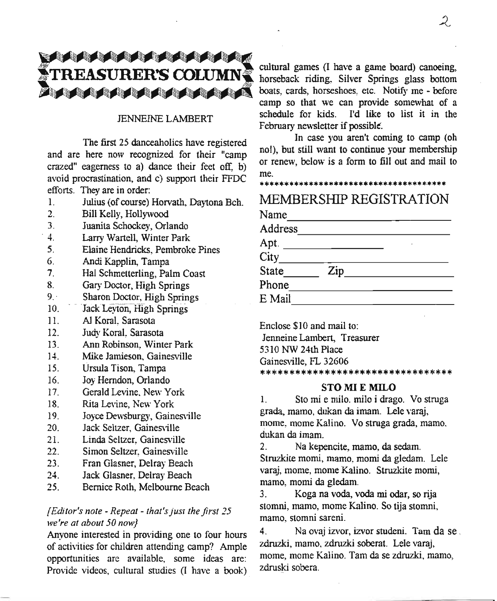## $\sqrt{2}$ <br> **TREASURER'S COUJMN** cultural games (I have a game board) canoeing, TREASURER'S COLUMN horseback riding, Silver Springs glass bottom  $\mu$  , and a cards, the state of  $\mu$

## *lENNEINE* LAMBERT

The first 25 danceaholics have registered and are here now recognized for their "camp crazed" eagerness to a) dance their feet off, b) avoid procrastination, and c) support their FFDC efforts. They are in order:

- 1. Julius (of course) Horvath, Daytona Bch.
- 2. Bill Kelly, Hollywood
- 3. Juanita Schockey, Orlando
- 4. Larry Wartell, Winter Park
- 5. Elaine Hendricks, Pembroke Pines
- 6. Andi Kapplin, Tampa
- 7. Hal Schmetterling, Palm Coast
- 8. Gary Doctor, High Springs
- 9. Sharon Doctor, High Springs
- 10. Jack Levton, High Springs
- 11. AI Koral, Sarasota
- 12. Judy Koral, Sarasota
- 13. Ann Robinson, Winter Park
- 14. Mike Jamieson, Gainesville
- 15. Ursula Tison, Tampa
- 16. Joy Herndon, Orlando
- 17. Gerald Levine, New York
- 18. Rita Levine, New York
- 19. Joyce Dewsburgy, Gainesville
- 20. Jack Seltzer, Gainesville
- 21. Linda Seltzer, Gainesville
- 22. Simon Seltzer, Gainesville
- 23. Fran Glasner, Delray Beach
- 24. Jack Glasner, Delray Beach
- 25. Bernice Roth, Melbourne Beach

## *[Editor's note - Repeat - that's just the first 25 we're at about 50 now}*

Anyone interested in providing one to four hours of activities for children attending camp? Ample opportunities are available, some ideas are: Provide videos, cultural studies (I have a book) camp so that we can provide somewhat of a schedule for kids. I'd like to list it in the February newsletter if possible.

In case you aren't coming to camp (oh nol), but still want to continue your membership or renew, below is a form to fill out and mail to me.

### \*\*\*\*\*\*\*\*\*\*\*\*\*\*\*\*\*\*\*\*\*\*\*\*\*\*\*\*\*\*\*\*\*\*\*\*\*\*

MEMBERSHIP REGISTRATION

| Name                     |                    |  |  |
|--------------------------|--------------------|--|--|
| Address                  |                    |  |  |
| Apt. $\_\_\_\_\_\_\_\_\$ |                    |  |  |
|                          |                    |  |  |
| State                    | $\mathsf{Zip}_{-}$ |  |  |
| Phone                    |                    |  |  |
| E Mail                   |                    |  |  |
|                          |                    |  |  |

Enclose \$10 and mail to: Jenneine Lambert, Treasurer 5310 NW 24th Place Gainesville, FL 32606 \*\*\*\*\*\*\*\*\*\*\*\*\*\*\*\*\*\*\*\*\*\*\*\*\*

#### **STOMIEMILO**

1. Sto mi e milo. milo idrago. Vo struga grada, mama, dukan da imam. Lele varaj, mome, mome Kalina. Va struga grada, mama. dukan da imam.

2. Na kepencite, mamo, da sedam. Struzkite momi, mama, momi da gledam. Lele varaj, mome, mome Kalino. Struzkite momi, mama, momi da gledam.

3. Koga na voda, voda mi odar, so rija stomni, mamo, mome Kalino. So tija stomni, mamo, stomni sareni.

4. Na ovaj izvor, izvor studeni. Tam dase. zdruzki, mamo, zdruzki soberat. Lele varaj, mome, mome Kalino. Tam da se zdruzki. mamo, zdruski sobera.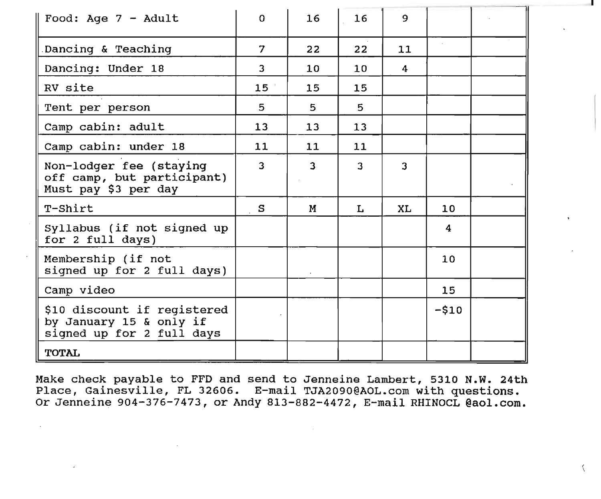| Food: Age 7 - Adult                                                                 | $\Omega$       | 16                      | 16              | 9              |                 |  |
|-------------------------------------------------------------------------------------|----------------|-------------------------|-----------------|----------------|-----------------|--|
|                                                                                     |                |                         |                 |                |                 |  |
| Dancing & Teaching                                                                  | 7              | 22                      | 22              | 11             |                 |  |
| Dancing: Under 18                                                                   | $\overline{3}$ | 10                      | 10 <sub>1</sub> | $\overline{4}$ |                 |  |
| RV site                                                                             | 15             | 15                      | 15              |                |                 |  |
| Tent per person                                                                     | 5.             | 5                       | 5               |                |                 |  |
| Camp cabin: adult                                                                   | 13             | 13                      | 13              |                |                 |  |
| Camp cabin: under 18                                                                | 11             | 11                      | 11              |                |                 |  |
| Non-lodger fee (staying<br>off camp, but participant)<br>Must pay \$3 per day       | $\overline{3}$ | $\overline{\mathbf{3}}$ | $\overline{3}$  | 3              |                 |  |
| T-Shirt                                                                             | S              | M                       | L               | XL             | 10 <sup>°</sup> |  |
| Syllabus (if not signed up<br>for 2 full days)                                      |                |                         |                 |                | 4               |  |
| Membership (if not<br>signed up for 2 full days)                                    |                |                         |                 |                | 10 <sup>°</sup> |  |
| Camp video                                                                          |                |                         |                 |                | 15              |  |
| \$10 discount if registered<br>by January 15 & only if<br>signed up for 2 full days |                |                         |                 |                | $-510$          |  |
| <b>TOTAL</b>                                                                        |                |                         |                 |                |                 |  |

Make check payable to FFD and send to Jenneine Lambert, 5310 N.W. 24th Place, Gainesville, FL 32606. E-mail TJA2090@AOL.com with questions. Or Jenneine 904-376-7473, or Andy 813-882-4472, E-mail RHINOCL @aol.com.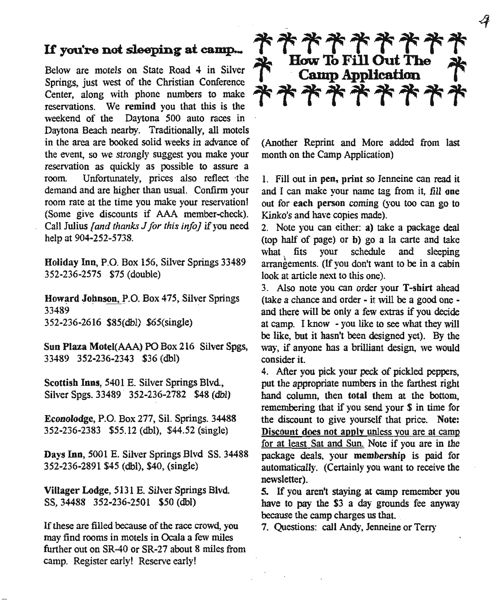## *U* **you're not sleeping at camp...**

Below are motels on State Road 4 in Silver Springs, just west of the Christian Conference Center, along with phone numbers to make reservations. We remind you that this is the weekend of the Daytona 500 auto races in Daytona Beach nearby. Traditionally, all motels in the area are booked solid weeks in advance of the event, so we strongly suggest you make your reservation as quickly as possible to assure a room. Unfortunately, prices also reflect ·the demand and are higher than usual. Confirm your room rate at the time you make your reservation! (Some give discounts if AAA member-check). Call Julius *[and thanks Jfor this info]* if you need help at 904-252-5738.

Holiday Inn, P.O. Box 156, Silver Springs 33489 352-236-2575 \$75 (double)

Howard Johnson, P.O. Box 475, Silver Springs 33489 352-236-2616 \$85(dbl) \$65(single)

Sun Plaza Motel(AAA) PO Box 216 Silver Spgs, 33489 352-236-2343 \$36 (dbl)

Scottish Inns, 5401 E. Silver Springs Blvd, Silver Spgs. 33489 352-236-2782 \$48 (dbl)

Econolodge, P.O. Box 277, Si1.Springs. 34488 352-236-2383 \$55.12 (dbl), \$44.52 (single)

Days Inn, 5001 E. Silver Springs Blvd SS.34488 352-236-2891 \$45 (db!), \$40, (single)

Villager Lodge, 5131 E. Silver Springs Blvd SS,34488 352-236-2501 \$50 (dbl)

If these are filled because of the race crowd, you may find rooms in motels in Ocala a few miles further out on SR-40 or SR-27 about 8 miles from camp. Register early! Reserve early!

\*\*\*\*\*\*\* How To Fill Out The<br>Camp Application \*\*\*\*\*\*\*\*\*

(Another Reprint and More added from last month on the Camp Application)

1. Fill out in pen, print so Jenneine can read it and I can make your name tag from it, fill one out for each person coming (you too can go to Kinko's and have copies made).

2. Note you can either: a) take a package deal (top half of page) or b) go a la carte and take what fits your schedule and sleeping arrangements. (If you don't want to be in a cabin look at article next to this one).

3. Also note you can order your T-shirt ahead (take a chance and order - it will be a good one and there will be only a few extras if you decide at camp. I know - you like to see what they will be like, but it hasn't been designed yet). By the way, if anyone has a brilliant design, we would consider it.

4. After you pick your peck of pickled peppers, put the appropriate numbers in the farthest right hand column, then total them at the bottom, remembering that if you send your \$ in time for the discount to give yourself that price. Note: Discount does not apply unless you are at camp for at least Sat and Sun. Note if you are in the package deals, your membership is paid for automatically, (Certainly you want to receive the newsletter).

5. If you aren't staying at camp remember you have to pay the \$3 a day grounds fee anyway because the camp charges us that.

7. Questions: call Andy, Jenneine or Terry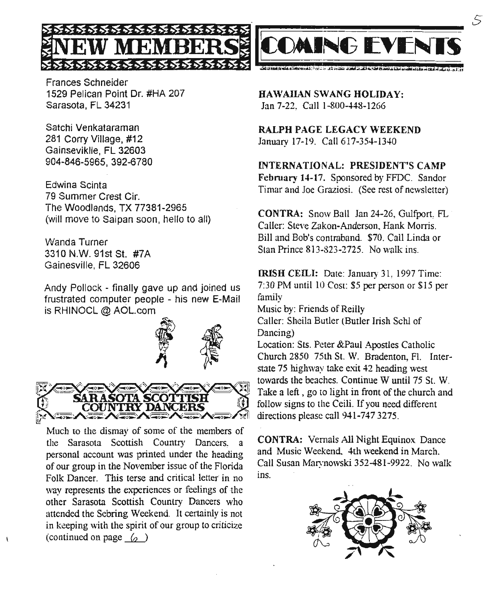Frances Schneider 1529 Pelican Point Dr. #HA 207 Sarasota, FL 34231

**WMEMBERS**

Satchi Venkataraman 281 Corry Village, #12 Gainseviklle, FL 32603 904-846-5965, 392-6780

Edwina Scinta 79 Summer Crest Cir. The Woodlands, TX 77381-2965 (will move to Saipan soon, hello to all)

Wanda Turner 3310 N.W. 91st St. #7A Gainesville, FL 32606

Andy Pollock - finally gave up and joined us is RHINOCL @ AOL.com



Much to the dismay of some of the members of the Sarasota Scottish Country Dancers, a personal account was printed under the heading of our group in the November issue of the Florida Folk Dancer. This terse and critical letter in no way represents the experiences or feelings of the other Sarasota Scottish Country Dancers who attended the Sebring Weekend. It certainly is not in keeping with the spirit of our group to criticize (continued on page  $\langle \rangle$ )



5

HAWAIIAN SWANG HOLIDAY: Jan 7-22, Call 1-800-448-1266

RALPH PAGE LEGACY WEEKEND January 17-19. Call617-354-1340

INTERNATIONAL: PRESIDENT'S CAMP February 14-17. Sponsored by FFDC. Sandor Timar and Joe Graziosi. (See rest of newsletter)

CONTRA: Snow Ball Ian 24-26, Gulfport FL Caller: Steve Zakon-Anderson, Hank Morris. Bill and Bob's contraband. \$70. Call Linda or Stan Prince 8l3-823-2725. No walk ins.

IRISH CEILI: Date: January 31, 1997 Time: 7:30 PM until 10 Cost: \$5 per person or \$15 per family

Music by: Friends of Reilly Caller: Sheila Butler (Butler Irish Schl of

Dancing)

Location: Sts. Peter &Paul Apostles Catholic Church 2850 75th St. W. Bradenton, Fl. Interstate 75 highway take exit 42 heading west towards the beaches. Continue W until 75 St. W. Take a left, go to light in front of the church and follow signs to the Ceili. If you need different directions please call 941-747 3275.

CONTRA: Vemals All Night Equinox Dance and Music Weekend. 4th weekend in March. Call Susan Marynowski 352-481-9922. No walk ins.

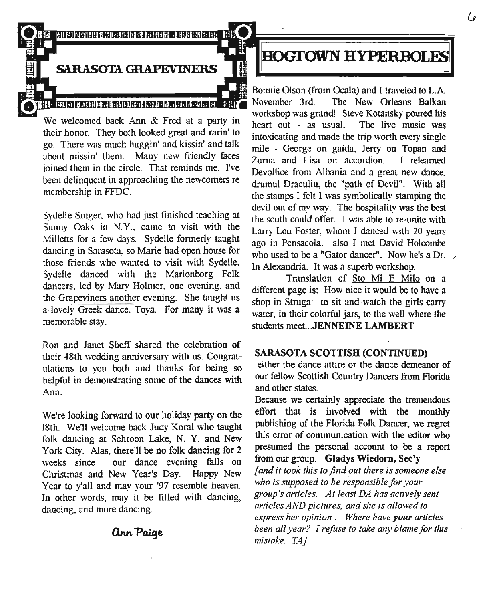

## **SARASOTA GRAPEVINERS**

We welcomed back Ann  $\&$  Fred at a party in  $\frac{1}{\sqrt{1-\lambda}}$  workshop was grand! Steve Kotatishy poared his their honor. They both looked great and rarin' to  $\frac{\text{heart out}}{\text{intovicating}}$  and made the trip worth every single go. There was much huggin' and kissin' and talk mile - George on gaida, Jerry on Topan and about missin' them. Many new friendly faces  $\frac{m}{2}$ urna and Lisa on accordion. I relearned joined them in the circle. That reminds me. I've Devollice from Albania and a great new dance. been delinquent in approaching the new comers re

Sydelle Singer, who had just finished teaching at Sunny Oaks in N.Y., came to visit with the Milletts for a few days. Sydelle formerly taught dancing in Sarasota, so Marie had open house for those friends who wanted to visit with Sydelle. Sydelle danced with the Marionborg Folk dancers. led by Mary Holmer. one evening, and the Grapeviners another evening. She taught us a lovely Greek dance. Tova. For many it was a memorable stay.

Ron and Janet Sheff shared the celebration of their 48th wedding anniversary with us. Congratulations to you both and thanks for being so helpful in demonstrating some of the dances with Ann.

We're looking forward to our holiday party on the 18th. We'll welcome back Judy Koral who taught folk dancing at Schroon Lake, N. Y. and New York City. Alas, there'll be no folk dancing for 2 weeks since our dance evening falls on Christmas and New Year's Day. Happy New Year to y'all and may your '97 resemble heaven. In other words, may it be filled with dancing, dancing, and more dancing.

## **ann Paige**

## **HOGTOWN HYPERBOLES**

Bonnie Olson (from Ocala) and I traveled to L.A. minimum Indian Indian Balkan November 3rd. The New Orleans Balkan workshop was grand! Steve Kotansky poured his been delinquent in approaching the newcomers re<br>membership in FFDC.<br>the stamps I felt I was symbolically stamping the the stamps I felt I was symbolically stamping the devil out of my way. The hospitality was the best the south could offer. [was able to re-unite with Larry Lou Foster, whom I danced with 20 years ago in Pensacola. also I met David Holcombe who used to be a "Gator dancer". Now he's a Dr.  $\sqrt{ }$ In Alexandria. It was a superb workshop.

> Translation of Sto Mi E Milo on a different page is: How nice it would be to have a shop in Struga: to sit and watch the girls carry water, in their colorful jars, to the well where the students meet...JENNEINE LAMBERT

#### SARASOTA SCOTTISH (CONTINUED)

either the dance attire or the dance demeanor of our fellow Scottish Country Dancers from Florida and other states.

Because we certainly appreciate the tremendous effort that is involved with the monthly publishing of the Florida Folk Dancer, we regret this error of communication with the editor who presumed the personal account to be a report from our group. Gladys Wiedorn, See'y *[and it took this to find out there is someone else who is supposed to be responsible for your group's articles. At least DA has actively sent articles AND pictures, and she is aI/owed to express her opinion. Where have your articles been aI/ year? Irefuse to take any blame for this mistake. TAJ*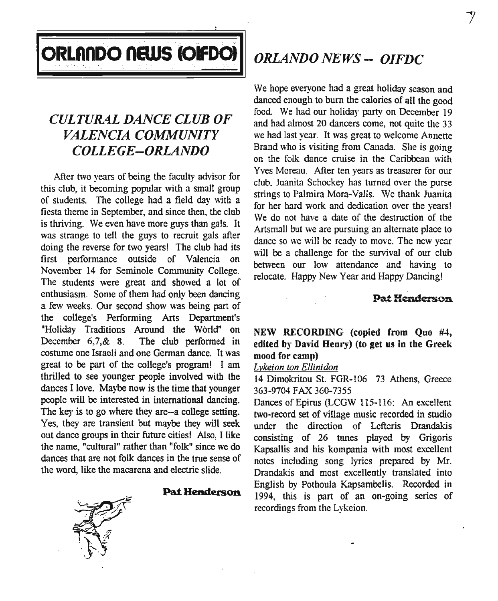

## *CULTURAL DANCE CLUB OF VALENCIA COMMUNITY COLLEGE-ORLAiVDO*

After two years of being the faculty advisor for this club, it becoming popular with a small group of students. The college had a field day with a fiesta theme in September, and since then, the club is thriving. We even have more guys than gals. It was strange to tell the guys to recruit gals after doing the reverse for two years! The club had its first performance outside of Valencia on November 14 for Seminole Community College. The students were great and showed a lot of enthusiasm. Some of them had only been dancing a few weeks. Our second show was being part of the college's Performing Arts Department's "Holiday Traditions Around the World" on December 6,7,& 8. The club performed in costume one Israeli and one German dance. It was great to be part of the college's program! I am thrilled to see younger people involved with the dances I love. Maybe now is the time that younger people will be interested in international dancing. The key is to go where they are-a college setting. Yes, they are transient but maybe they will seek out dance groups in their future cities! Also, I like the name, "cultural" rather than "folk" since we do dances that are not folk dances in the true sense of the word, like the macarena and electric slide.

#### **Pat Henderson.**

*ORLANDO NEWS - OIFDC*

We hope everyone had a great holiday season and danced enough to bum the calories of all the good food. We had our holiday party on December 19 and had almost 20 dancers come, not quite the 33 we had last year. It was great to welcome Annette Brand who is visiting from Canada. She is going on the folk dance cruise in the Caribbean with Yves Moreau. After ten years as treasurer for our club. Juanita Schockey has turned over the purse strings to Palmira Mora-Valls. We thank Juanita for her hard work and dedication over the years! We do not have a date of the destruction of the Artsmall but we are pursuing an alternate place to dance so we will be ready to move. The new year will be a challenge for the survival of our club between our low attendance and having to relocate. Happy New Year and Happy Dancing!

## Pat Henderson

NEW RECORDING (copied from Quo #4, edited by David Henry) (to get us in the Greek mood for camp)

## *Lykeion ton Ellinidon*

14 Dimokritou 81. FGR-I06 73 Athens, Greece 363-9704 FAX.360-7355

Dances of Epirus (LCGW 115-116: An excellent two-record set of village music recorded in studio under the direction of Lefteris Drandakis consisting of 26 tunes played by Grigoris Kapsallis and his kompania with most excellent notes including song lyrics prepared by Mr. Drandakis and most excellently translated into English by Pothoula Kapsambelis. Recorded in 1994, this is part of an on-going series of recordings from the Lykeion.

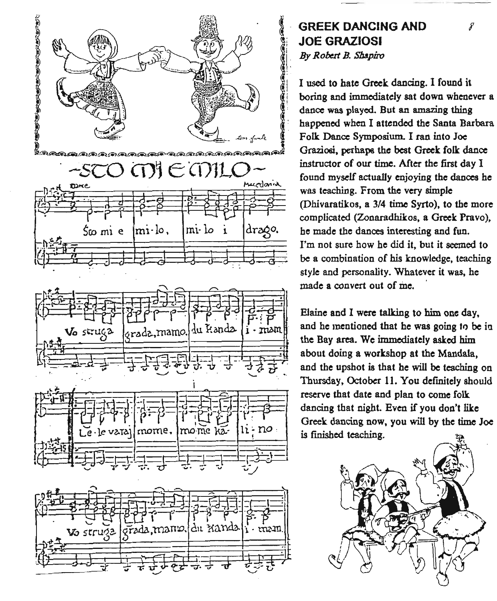

## **GREEK DANCING AND** (!i **JOE GRAZIOSI** *I. By Robert B. SM.piro*

I used to hate Greek dancing. I found it boring and immediately sat down whenever a dance was played, But an amazing thing happened when I attended the Santa Barbara Folk Dance Symposium. I ran into Joe Graziosi, perhaps the best Greek folk dance instructor of our time. Mter the first day I found myself actually enjoying the dances he was teaching. From the very simple (Dhivaratikos, a 3/4 time Syrto), to the more complicated (Zonaradhikos, a Greek Pravo), he made the dances interesting and fun. I'm not sure how he did it, but it seemed to be a combination of his knowledge, teaching style and personality. Whatever it was, he made a convert out of me.

-\_.\_---

Elaine and I were talking to him one day, and he mentioned that he was going to be in the Bay area. We immediately asked him about doing a workshop at the Mandala, and the upshot is that he will be teaching on Thursday, October 11. You definitely should reserve that date and plan to come folk dancing that night. Even if you don't like Greek dancing now, you will by the time Joe is finished teaching.

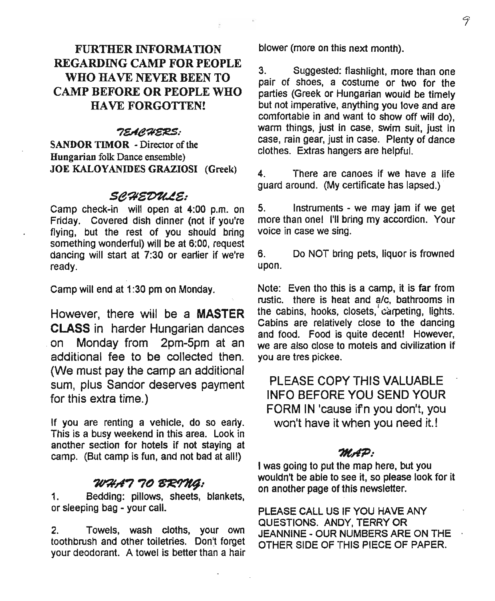## FURTHER INFORMATION REGARDING CAMP FOR PEOPLE WHO HAVE NEVER BEEN TO CAMP BEFORE OR PEOPLE WHO HAVE FORGOTTEN!

## *7I!Ae?lSif!S:*

SANDOR TIMOR - Director of the Hungarian folk Dance ensemble) JOE KALOYANIDES GRAZIOSI (Greek)

## *se~~e:*

Camp check-in will open at 4:00 p.m. on Friday. Covered dish dinner (not if you're flying, but the rest of you should bring something wonderful) will be at 6:00, request dancing will start at 7:30 or eartier if we're ready.

Camp will end at 1:30 pm on Monday.

However, there will be a MASTER CLASS in harder Hungarian dances .on Monday from 2pm-Spm at an additional fee to be collected then. (We must pay the camp an additional sum, plus Sandor deserves payment for this extra time.)

If you are renting a vehicle, do so early. This is a busy weekend in this area. Look in another section for hotels if not staying at camp. (But camp is fun, and not bad at all!)

## ~A77()~:

1. Bedding: pillows, sheets, blankets, or sleeping bag - your call.

2. Towels, wash cloths, your own toothbrush and other toiletries. Don't forget your deodorant. A towel is better than a hair blower (more on this next month).

3. Suggested: flashlight, more than one pair of shoes, a costume or two for the parties (Greek or Hungarian would be timely but not imperative, anything you love and are comfortable in and want to show off will do), warm things, just in case, swim suit, just in case, rain gear, just in case. Plenty of dance clothes. Extras hangers are helpful.

4. There are canoes if we have a life quard around. (My certificate has lapsed.)

5. Instruments - we may jam if we get more than one! I'll bring my accordion. Your voice in case we sing.

6. Do NOT bring pets, liquor is frowned upon.

Note: Even tho this is a camp, it is far from rustic. there is heat and a/c, bathrooms in the cabins, hooks, closets, carpeting, lights. Cabins are relatively close to the dancing and food. Food is quite decent! However, we are also close to motels and civilization if you are tres pickee.

PLEASE COpy THIS VALUABLE INFO BEFOREYOU SEND YOUR FORM IN 'cause ifn you don't, you won't have it when you need it.!

### *?It~:*

I was going to put the map here, but you wouldn't be able to see it, so please look for it on another page of this newsletter.

PLEASE CALL US IF YOU HAVE ANY QUESTIONS. ANDY, TERRY OR JEANNINE - OUR NUMBERS ARE ON THE OTHER SIDE OF THIS PIECE OF PAPER.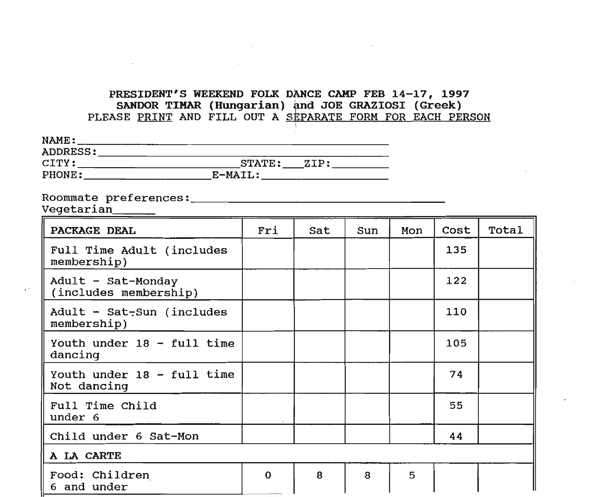## PRESIDENT'S WEEKEND FOLK DANCE CAMP FEB 14-17, 1997 SANDOR TIMAR (Hungarian) and JOE GRAZIOSI (Greek) PLEASE PRINT AND FILL OUT A SEPARATE FORM FOR EACH PERSON

| NAME:           |                |
|-----------------|----------------|
| <b>ADDRESS:</b> |                |
| CITY:           | STATE:<br>ZIP: |
| PHONE:          | E-MAIL:        |

the contract of the contract of the contract of

Roommate preferences: ~ \_

| Vegetarian                                  |             |     |     |     |      |       |
|---------------------------------------------|-------------|-----|-----|-----|------|-------|
| PACKAGE DEAL                                | Fri         | Sat | Sun | Mon | Cost | Total |
| Full Time Adult (includes<br>membership)    |             |     |     |     | 135  |       |
| Adult - Sat-Monday<br>(includes membership) |             |     |     |     | 122  |       |
| Adult - Sat-Sun (includes<br>membership)    |             |     |     |     | 110  |       |
| Youth under 18 - full time<br>dancing       |             |     |     |     | 105  |       |
| Youth under 18 - full time<br>Not dancing   |             |     |     |     | 74   |       |
| Full Time Child<br>under 6                  |             |     |     |     | 55   |       |
| Child under 6 Sat-Mon                       |             |     |     |     | 44   |       |
| A LA CARTE                                  |             |     |     |     |      |       |
| Food: Children<br>6 and under               | $\mathbf 0$ | 8   | 8   | 5   |      |       |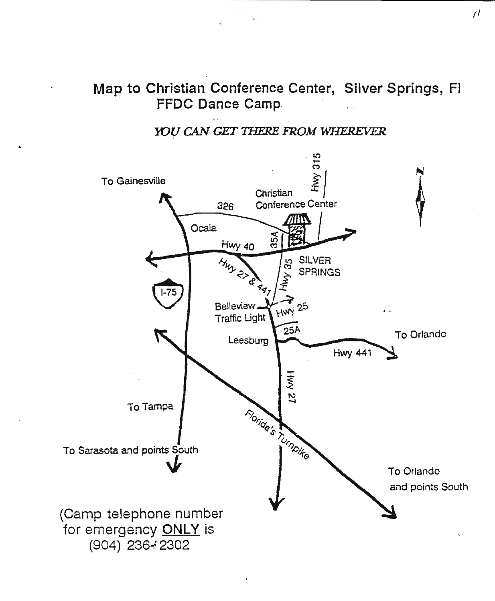## Map to Christian Conference Center, Silver Springs, Fi **FFDC Dance Camp.**

## YOU CAN GET THERE FROM WHEREVER